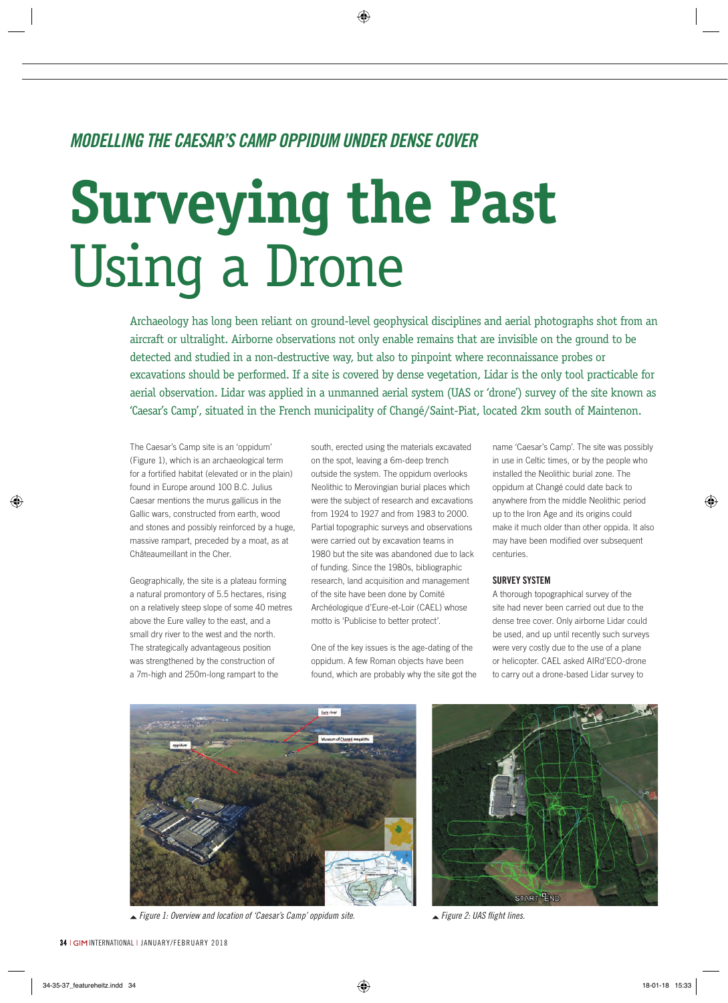# *Modelling the Caesar's Camp Oppidum under Dense Cover*

# **Surveying the Past** Using a Drone

Archaeology has long been reliant on ground-level geophysical disciplines and aerial photographs shot from an aircraft or ultralight. Airborne observations not only enable remains that are invisible on the ground to be detected and studied in a non-destructive way, but also to pinpoint where reconnaissance probes or excavations should be performed. If a site is covered by dense vegetation, Lidar is the only tool practicable for aerial observation. Lidar was applied in a unmanned aerial system (UAS or 'drone') survey of the site known as 'Caesar's Camp', situated in the French municipality of Changé/Saint-Piat, located 2km south of Maintenon.

The Caesar's Camp site is an 'oppidum' (Figure 1), which is an archaeological term for a fortified habitat (elevated or in the plain) found in Europe around 100 B.C. Julius Caesar mentions the murus gallicus in the Gallic wars, constructed from earth, wood and stones and possibly reinforced by a huge, massive rampart, preceded by a moat, as at Châteaumeillant in the Cher.

Geographically, the site is a plateau forming a natural promontory of 5.5 hectares, rising on a relatively steep slope of some 40 metres above the Eure valley to the east, and a small dry river to the west and the north. The strategically advantageous position was strengthened by the construction of a 7m-high and 250m-long rampart to the

south, erected using the materials excavated on the spot, leaving a 6m-deep trench outside the system. The oppidum overlooks Neolithic to Merovingian burial places which were the subject of research and excavations from 1924 to 1927 and from 1983 to 2000. Partial topographic surveys and observations were carried out by excavation teams in 1980 but the site was abandoned due to lack of funding. Since the 1980s, bibliographic research, land acquisition and management of the site have been done by Comité Archéologique d'Eure-et-Loir (CAEL) whose motto is 'Publicise to better protect'.

One of the key issues is the age-dating of the oppidum. A few Roman objects have been found, which are probably why the site got the name 'Caesar's Camp'. The site was possibly in use in Celtic times, or by the people who installed the Neolithic burial zone. The oppidum at Changé could date back to anywhere from the middle Neolithic period up to the Iron Age and its origins could make it much older than other oppida. It also may have been modified over subsequent centuries.

### **Survey system**

A thorough topographical survey of the site had never been carried out due to the dense tree cover. Only airborne Lidar could be used, and up until recently such surveys were very costly due to the use of a plane or helicopter. CAEL asked AIRd'ECO-drone to carry out a drone-based Lidar survey to



 *Figure 1: Overview and location of 'Caesar's Camp' oppidum site. Figure 2: UAS flight lines.*